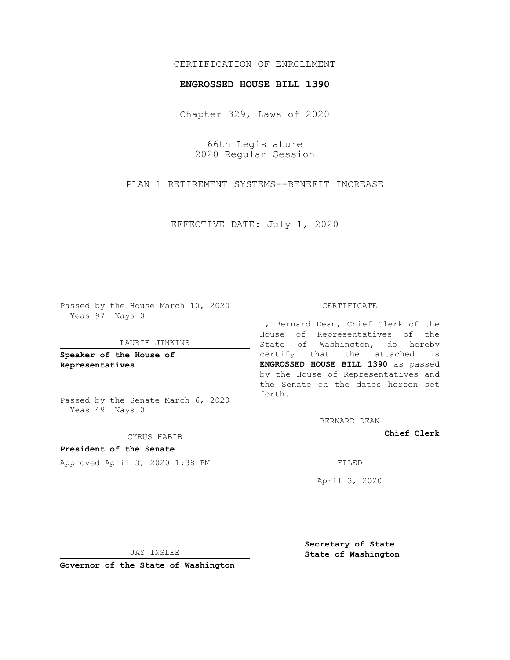## CERTIFICATION OF ENROLLMENT

## **ENGROSSED HOUSE BILL 1390**

Chapter 329, Laws of 2020

66th Legislature 2020 Regular Session

PLAN 1 RETIREMENT SYSTEMS--BENEFIT INCREASE

EFFECTIVE DATE: July 1, 2020

Passed by the House March 10, 2020 Yeas 97 Nays 0

#### LAURIE JINKINS

**Speaker of the House of Representatives**

Passed by the Senate March 6, 2020 Yeas 49 Nays 0

#### CYRUS HABIB

**President of the Senate** Approved April 3, 2020 1:38 PM FILED

### CERTIFICATE

I, Bernard Dean, Chief Clerk of the House of Representatives of the State of Washington, do hereby certify that the attached is **ENGROSSED HOUSE BILL 1390** as passed by the House of Representatives and the Senate on the dates hereon set forth.

BERNARD DEAN

**Chief Clerk**

April 3, 2020

JAY INSLEE

**Governor of the State of Washington**

**Secretary of State State of Washington**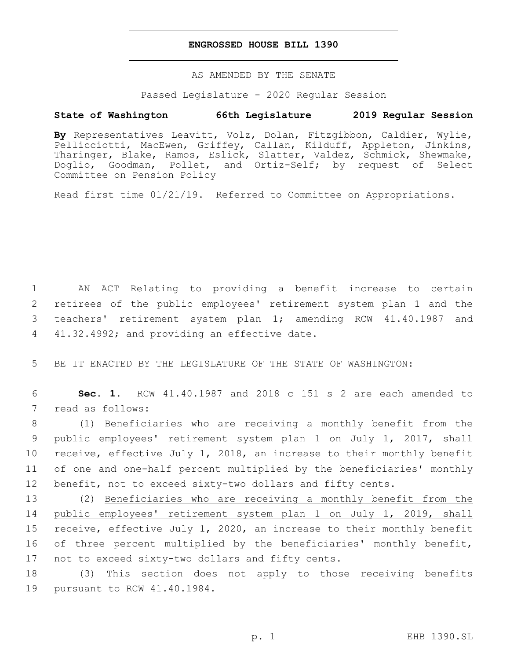## **ENGROSSED HOUSE BILL 1390**

AS AMENDED BY THE SENATE

Passed Legislature - 2020 Regular Session

# **State of Washington 66th Legislature 2019 Regular Session**

**By** Representatives Leavitt, Volz, Dolan, Fitzgibbon, Caldier, Wylie, Pellicciotti, MacEwen, Griffey, Callan, Kilduff, Appleton, Jinkins, Tharinger, Blake, Ramos, Eslick, Slatter, Valdez, Schmick, Shewmake, Doglio, Goodman, Pollet, and Ortiz-Self; by request of Select Committee on Pension Policy

Read first time 01/21/19. Referred to Committee on Appropriations.

 AN ACT Relating to providing a benefit increase to certain retirees of the public employees' retirement system plan 1 and the teachers' retirement system plan 1; amending RCW 41.40.1987 and 4 41.32.4992; and providing an effective date.

5 BE IT ENACTED BY THE LEGISLATURE OF THE STATE OF WASHINGTON:

6 **Sec. 1.** RCW 41.40.1987 and 2018 c 151 s 2 are each amended to 7 read as follows:

 (1) Beneficiaries who are receiving a monthly benefit from the public employees' retirement system plan 1 on July 1, 2017, shall receive, effective July 1, 2018, an increase to their monthly benefit of one and one-half percent multiplied by the beneficiaries' monthly benefit, not to exceed sixty-two dollars and fifty cents.

13 (2) Beneficiaries who are receiving a monthly benefit from the 14 public employees' retirement system plan 1 on July 1, 2019, shall 15 receive, effective July 1, 2020, an increase to their monthly benefit 16 of three percent multiplied by the beneficiaries' monthly benefit, 17 not to exceed sixty-two dollars and fifty cents.

18 (3) This section does not apply to those receiving benefits 19 pursuant to RCW 41.40.1984.